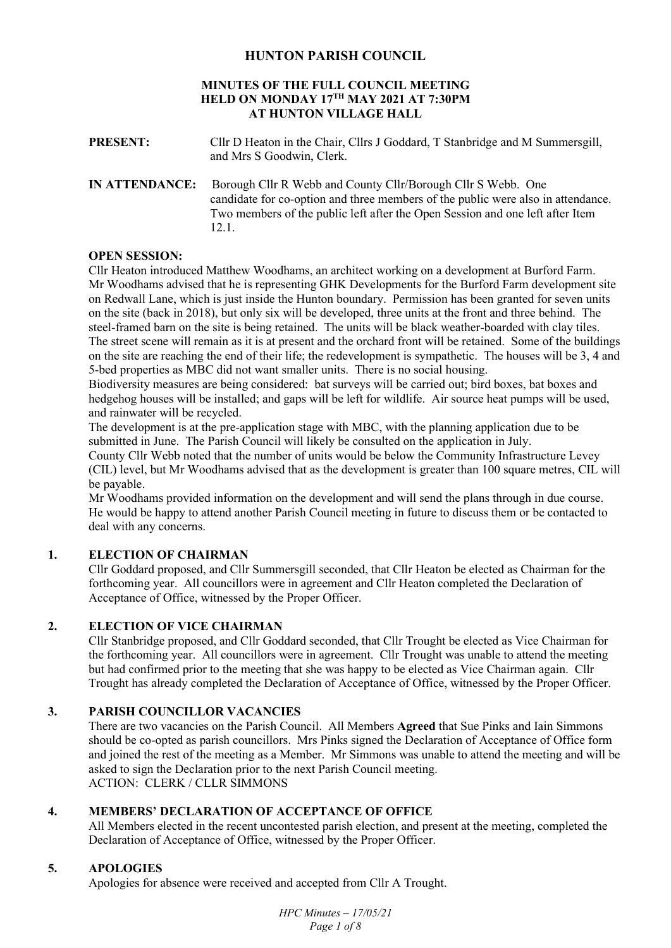## **HUNTON PARISH COUNCIL**

#### **MINUTES OF THE FULL COUNCIL MEETING HELD ON MONDAY 17TH MAY 2021 AT 7:30PM AT HUNTON VILLAGE HALL**

**PRESENT:** Cllr D Heaton in the Chair, Cllrs J Goddard, T Stanbridge and M Summersgill, and Mrs S Goodwin, Clerk.

**IN ATTENDANCE:** Borough Cllr R Webb and County Cllr/Borough Cllr S Webb. One candidate for co-option and three members of the public were also in attendance. Two members of the public left after the Open Session and one left after Item 12.1.

### **OPEN SESSION:**

Cllr Heaton introduced Matthew Woodhams, an architect working on a development at Burford Farm. Mr Woodhams advised that he is representing GHK Developments for the Burford Farm development site on Redwall Lane, which is just inside the Hunton boundary. Permission has been granted for seven units on the site (back in 2018), but only six will be developed, three units at the front and three behind. The steel-framed barn on the site is being retained. The units will be black weather-boarded with clay tiles. The street scene will remain as it is at present and the orchard front will be retained. Some of the buildings on the site are reaching the end of their life; the redevelopment is sympathetic. The houses will be 3, 4 and 5-bed properties as MBC did not want smaller units. There is no social housing.

Biodiversity measures are being considered: bat surveys will be carried out; bird boxes, bat boxes and hedgehog houses will be installed; and gaps will be left for wildlife. Air source heat pumps will be used, and rainwater will be recycled.

The development is at the pre-application stage with MBC, with the planning application due to be submitted in June. The Parish Council will likely be consulted on the application in July.

County Cllr Webb noted that the number of units would be below the Community Infrastructure Levey (CIL) level, but Mr Woodhams advised that as the development is greater than 100 square metres, CIL will be payable.

Mr Woodhams provided information on the development and will send the plans through in due course. He would be happy to attend another Parish Council meeting in future to discuss them or be contacted to deal with any concerns.

## **1. ELECTION OF CHAIRMAN**

Cllr Goddard proposed, and Cllr Summersgill seconded, that Cllr Heaton be elected as Chairman for the forthcoming year. All councillors were in agreement and Cllr Heaton completed the Declaration of Acceptance of Office, witnessed by the Proper Officer.

## **2. ELECTION OF VICE CHAIRMAN**

Cllr Stanbridge proposed, and Cllr Goddard seconded, that Cllr Trought be elected as Vice Chairman for the forthcoming year. All councillors were in agreement. Cllr Trought was unable to attend the meeting but had confirmed prior to the meeting that she was happy to be elected as Vice Chairman again. Cllr Trought has already completed the Declaration of Acceptance of Office, witnessed by the Proper Officer.

## **3. PARISH COUNCILLOR VACANCIES**

There are two vacancies on the Parish Council. All Members **Agreed** that Sue Pinks and Iain Simmons should be co-opted as parish councillors. Mrs Pinks signed the Declaration of Acceptance of Office form and joined the rest of the meeting as a Member. Mr Simmons was unable to attend the meeting and will be asked to sign the Declaration prior to the next Parish Council meeting. ACTION: CLERK / CLLR SIMMONS

## **4. MEMBERS' DECLARATION OF ACCEPTANCE OF OFFICE**

All Members elected in the recent uncontested parish election, and present at the meeting, completed the Declaration of Acceptance of Office, witnessed by the Proper Officer.

## **5. APOLOGIES**

Apologies for absence were received and accepted from Cllr A Trought.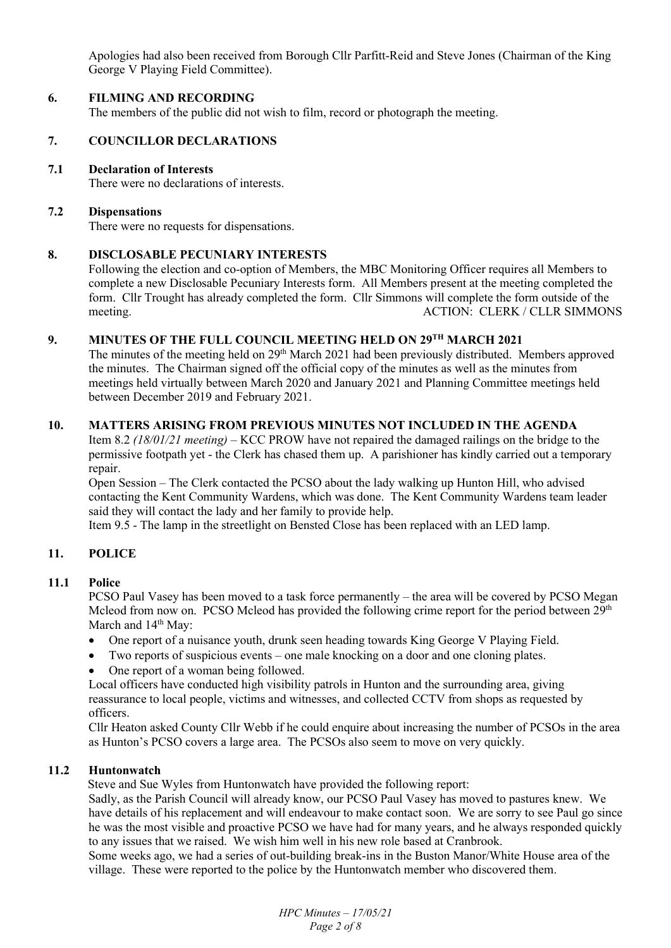Apologies had also been received from Borough Cllr Parfitt-Reid and Steve Jones (Chairman of the King George V Playing Field Committee).

## **6. FILMING AND RECORDING**

The members of the public did not wish to film, record or photograph the meeting.

### **7. COUNCILLOR DECLARATIONS**

#### **7.1 Declaration of Interests**

There were no declarations of interests.

#### **7.2 Dispensations**

There were no requests for dispensations.

#### **8. DISCLOSABLE PECUNIARY INTERESTS**

Following the election and co-option of Members, the MBC Monitoring Officer requires all Members to complete a new Disclosable Pecuniary Interests form. All Members present at the meeting completed the form. Cllr Trought has already completed the form. Cllr Simmons will complete the form outside of the meeting. ACTION: CLERK / CLLR SIMMONS

# **9. MINUTES OF THE FULL COUNCIL MEETING HELD ON 29TH MARCH 2021**

The minutes of the meeting held on 29<sup>th</sup> March 2021 had been previously distributed. Members approved the minutes. The Chairman signed off the official copy of the minutes as well as the minutes from meetings held virtually between March 2020 and January 2021 and Planning Committee meetings held between December 2019 and February 2021.

#### **10. MATTERS ARISING FROM PREVIOUS MINUTES NOT INCLUDED IN THE AGENDA**

Item 8.2 *(18/01/21 meeting)* – KCC PROW have not repaired the damaged railings on the bridge to the permissive footpath yet - the Clerk has chased them up. A parishioner has kindly carried out a temporary repair.

Open Session – The Clerk contacted the PCSO about the lady walking up Hunton Hill, who advised contacting the Kent Community Wardens, which was done. The Kent Community Wardens team leader said they will contact the lady and her family to provide help.

Item 9.5 - The lamp in the streetlight on Bensted Close has been replaced with an LED lamp.

#### **11. POLICE**

#### **11.1 Police**

PCSO Paul Vasey has been moved to a task force permanently – the area will be covered by PCSO Megan Mcleod from now on. PCSO Mcleod has provided the following crime report for the period between 29<sup>th</sup> March and 14<sup>th</sup> May:

- One report of a nuisance youth, drunk seen heading towards King George V Playing Field.
- Two reports of suspicious events one male knocking on a door and one cloning plates.
- One report of a woman being followed.

Local officers have conducted high visibility patrols in Hunton and the surrounding area, giving reassurance to local people, victims and witnesses, and collected CCTV from shops as requested by officers.

Cllr Heaton asked County Cllr Webb if he could enquire about increasing the number of PCSOs in the area as Hunton's PCSO covers a large area. The PCSOs also seem to move on very quickly.

### **11.2 Huntonwatch**

Steve and Sue Wyles from Huntonwatch have provided the following report:

Sadly, as the Parish Council will already know, our PCSO Paul Vasey has moved to pastures knew. We have details of his replacement and will endeavour to make contact soon. We are sorry to see Paul go since he was the most visible and proactive PCSO we have had for many years, and he always responded quickly to any issues that we raised. We wish him well in his new role based at Cranbrook.

Some weeks ago, we had a series of out-building break-ins in the Buston Manor/White House area of the village. These were reported to the police by the Huntonwatch member who discovered them.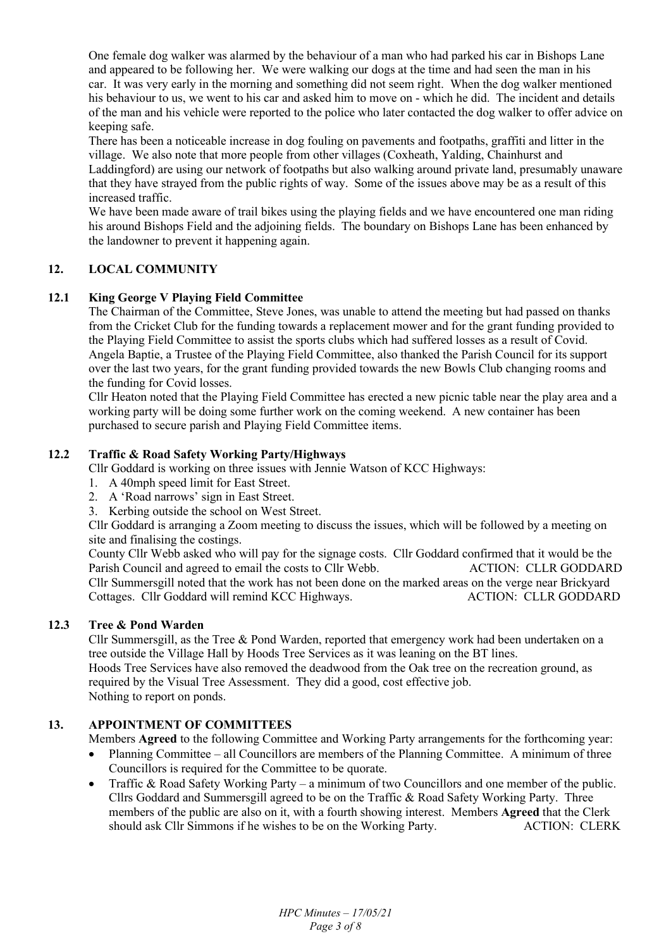One female dog walker was alarmed by the behaviour of a man who had parked his car in Bishops Lane and appeared to be following her. We were walking our dogs at the time and had seen the man in his car. It was very early in the morning and something did not seem right. When the dog walker mentioned his behaviour to us, we went to his car and asked him to move on - which he did. The incident and details of the man and his vehicle were reported to the police who later contacted the dog walker to offer advice on keeping safe.

There has been a noticeable increase in dog fouling on pavements and footpaths, graffiti and litter in the village. We also note that more people from other villages (Coxheath, Yalding, Chainhurst and Laddingford) are using our network of footpaths but also walking around private land, presumably unaware that they have strayed from the public rights of way. Some of the issues above may be as a result of this increased traffic.

We have been made aware of trail bikes using the playing fields and we have encountered one man riding his around Bishops Field and the adjoining fields. The boundary on Bishops Lane has been enhanced by the landowner to prevent it happening again.

## **12. LOCAL COMMUNITY**

## **12.1 King George V Playing Field Committee**

The Chairman of the Committee, Steve Jones, was unable to attend the meeting but had passed on thanks from the Cricket Club for the funding towards a replacement mower and for the grant funding provided to the Playing Field Committee to assist the sports clubs which had suffered losses as a result of Covid. Angela Baptie, a Trustee of the Playing Field Committee, also thanked the Parish Council for its support over the last two years, for the grant funding provided towards the new Bowls Club changing rooms and the funding for Covid losses.

Cllr Heaton noted that the Playing Field Committee has erected a new picnic table near the play area and a working party will be doing some further work on the coming weekend. A new container has been purchased to secure parish and Playing Field Committee items.

## **12.2 Traffic & Road Safety Working Party/Highways**

Cllr Goddard is working on three issues with Jennie Watson of KCC Highways:

- 1. A 40mph speed limit for East Street.
- 2. A 'Road narrows' sign in East Street.
- 3. Kerbing outside the school on West Street.

Cllr Goddard is arranging a Zoom meeting to discuss the issues, which will be followed by a meeting on site and finalising the costings.

County Cllr Webb asked who will pay for the signage costs. Cllr Goddard confirmed that it would be the Parish Council and agreed to email the costs to Cllr Webb. ACTION: CLLR GODDARD Cllr Summersgill noted that the work has not been done on the marked areas on the verge near Brickyard Cottages. Cllr Goddard will remind KCC Highways. ACTION: CLLR GODDARD

## **12.3 Tree & Pond Warden**

Cllr Summersgill, as the Tree & Pond Warden, reported that emergency work had been undertaken on a tree outside the Village Hall by Hoods Tree Services as it was leaning on the BT lines. Hoods Tree Services have also removed the deadwood from the Oak tree on the recreation ground, as required by the Visual Tree Assessment. They did a good, cost effective job. Nothing to report on ponds.

# **13. APPOINTMENT OF COMMITTEES**

Members **Agreed** to the following Committee and Working Party arrangements for the forthcoming year:

- Planning Committee all Councillors are members of the Planning Committee. A minimum of three Councillors is required for the Committee to be quorate.
- Traffic & Road Safety Working Party a minimum of two Councillors and one member of the public. Cllrs Goddard and Summersgill agreed to be on the Traffic & Road Safety Working Party. Three members of the public are also on it, with a fourth showing interest. Members **Agreed** that the Clerk should ask Cllr Simmons if he wishes to be on the Working Party. ACTION: CLERK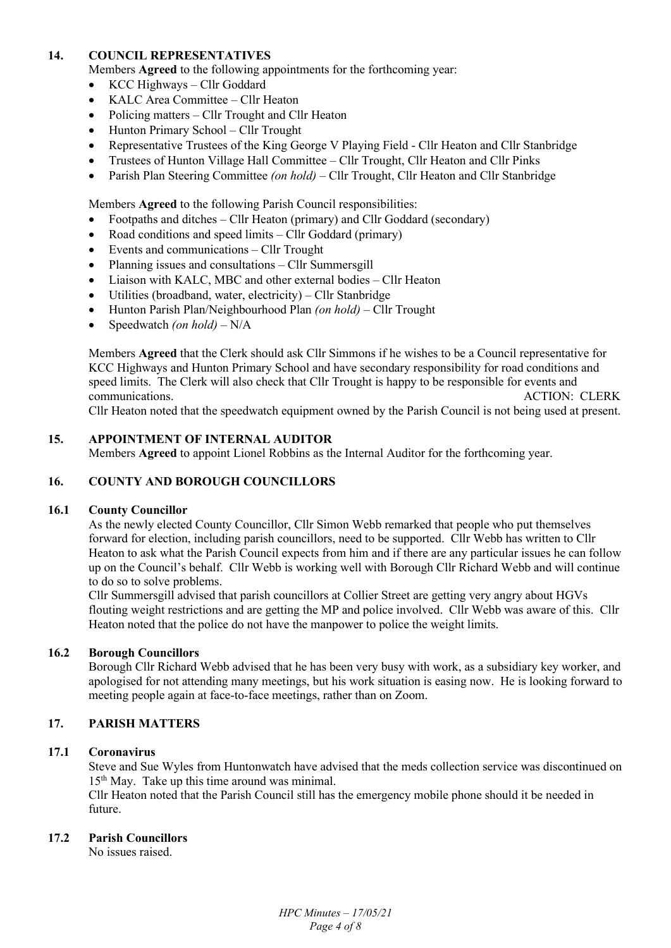## **14. COUNCIL REPRESENTATIVES**

Members **Agreed** to the following appointments for the forthcoming year:

- KCC Highways Cllr Goddard
- KALC Area Committee Cllr Heaton
- Policing matters Cllr Trought and Cllr Heaton
- Hunton Primary School Cllr Trought
- Representative Trustees of the King George V Playing Field Cllr Heaton and Cllr Stanbridge
- Trustees of Hunton Village Hall Committee Cllr Trought, Cllr Heaton and Cllr Pinks
- Parish Plan Steering Committee *(on hold)*  Cllr Trought, Cllr Heaton and Cllr Stanbridge

Members **Agreed** to the following Parish Council responsibilities:

- Footpaths and ditches Cllr Heaton (primary) and Cllr Goddard (secondary)
- Road conditions and speed limits Cllr Goddard (primary)
- Events and communications Cllr Trought
- Planning issues and consultations Cllr Summersgill
- Liaison with KALC, MBC and other external bodies Cllr Heaton
- Utilities (broadband, water, electricity) Cllr Stanbridge
- Hunton Parish Plan/Neighbourhood Plan *(on hold)* Cllr Trought
- Speedwatch *(on hold)* N/A

Members **Agreed** that the Clerk should ask Cllr Simmons if he wishes to be a Council representative for KCC Highways and Hunton Primary School and have secondary responsibility for road conditions and speed limits. The Clerk will also check that Cllr Trought is happy to be responsible for events and communications. ACTION: CLERK

Cllr Heaton noted that the speedwatch equipment owned by the Parish Council is not being used at present.

### **15. APPOINTMENT OF INTERNAL AUDITOR**

Members **Agreed** to appoint Lionel Robbins as the Internal Auditor for the forthcoming year.

## **16. COUNTY AND BOROUGH COUNCILLORS**

#### **16.1 County Councillor**

As the newly elected County Councillor, Cllr Simon Webb remarked that people who put themselves forward for election, including parish councillors, need to be supported. Cllr Webb has written to Cllr Heaton to ask what the Parish Council expects from him and if there are any particular issues he can follow up on the Council's behalf. Cllr Webb is working well with Borough Cllr Richard Webb and will continue to do so to solve problems.

Cllr Summersgill advised that parish councillors at Collier Street are getting very angry about HGVs flouting weight restrictions and are getting the MP and police involved. Cllr Webb was aware of this. Cllr Heaton noted that the police do not have the manpower to police the weight limits.

#### **16.2 Borough Councillors**

Borough Cllr Richard Webb advised that he has been very busy with work, as a subsidiary key worker, and apologised for not attending many meetings, but his work situation is easing now. He is looking forward to meeting people again at face-to-face meetings, rather than on Zoom.

## **17. PARISH MATTERS**

#### **17.1 Coronavirus**

Steve and Sue Wyles from Huntonwatch have advised that the meds collection service was discontinued on 15th May. Take up this time around was minimal.

Cllr Heaton noted that the Parish Council still has the emergency mobile phone should it be needed in future.

#### **17.2 Parish Councillors**

No issues raised.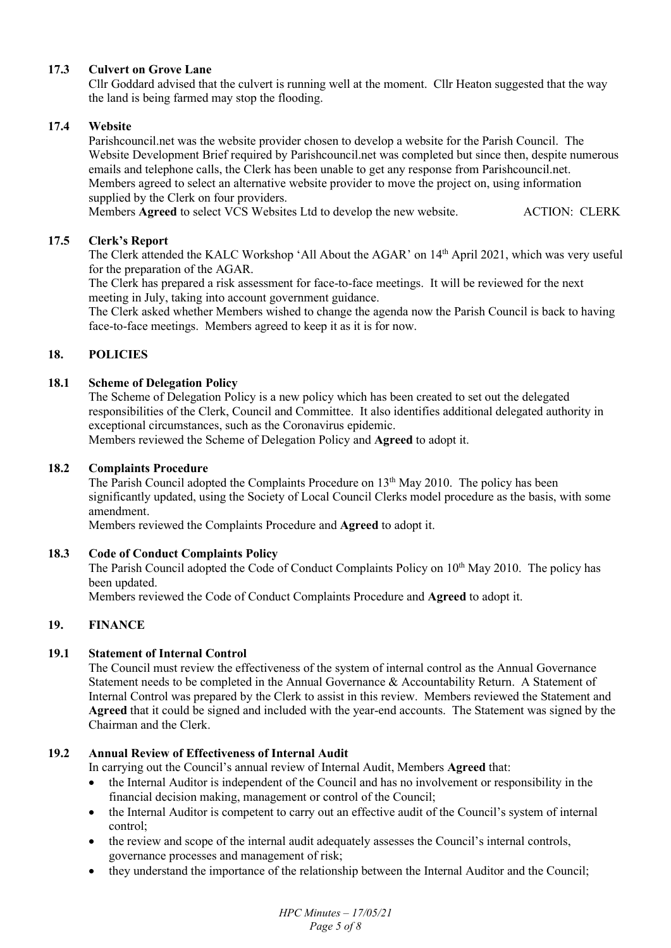## **17.3 Culvert on Grove Lane**

Cllr Goddard advised that the culvert is running well at the moment. Cllr Heaton suggested that the way the land is being farmed may stop the flooding.

## **17.4 Website**

Parishcouncil.net was the website provider chosen to develop a website for the Parish Council. The Website Development Brief required by Parishcouncil.net was completed but since then, despite numerous emails and telephone calls, the Clerk has been unable to get any response from Parishcouncil.net. Members agreed to select an alternative website provider to move the project on, using information supplied by the Clerk on four providers.

Members **Agreed** to select VCS Websites Ltd to develop the new website. ACTION: CLERK

## **17.5 Clerk's Report**

The Clerk attended the KALC Workshop 'All About the AGAR' on 14<sup>th</sup> April 2021, which was very useful for the preparation of the AGAR.

The Clerk has prepared a risk assessment for face-to-face meetings. It will be reviewed for the next meeting in July, taking into account government guidance.

The Clerk asked whether Members wished to change the agenda now the Parish Council is back to having face-to-face meetings. Members agreed to keep it as it is for now.

## **18. POLICIES**

### **18.1 Scheme of Delegation Policy**

The Scheme of Delegation Policy is a new policy which has been created to set out the delegated responsibilities of the Clerk, Council and Committee. It also identifies additional delegated authority in exceptional circumstances, such as the Coronavirus epidemic.

Members reviewed the Scheme of Delegation Policy and **Agreed** to adopt it.

### **18.2 Complaints Procedure**

The Parish Council adopted the Complaints Procedure on 13<sup>th</sup> May 2010. The policy has been significantly updated, using the Society of Local Council Clerks model procedure as the basis, with some amendment.

Members reviewed the Complaints Procedure and **Agreed** to adopt it.

#### **18.3 Code of Conduct Complaints Policy**

The Parish Council adopted the Code of Conduct Complaints Policy on  $10<sup>th</sup>$  May 2010. The policy has been updated.

Members reviewed the Code of Conduct Complaints Procedure and **Agreed** to adopt it.

## **19. FINANCE**

## **19.1 Statement of Internal Control**

The Council must review the effectiveness of the system of internal control as the Annual Governance Statement needs to be completed in the Annual Governance & Accountability Return. A Statement of Internal Control was prepared by the Clerk to assist in this review. Members reviewed the Statement and **Agreed** that it could be signed and included with the year-end accounts. The Statement was signed by the Chairman and the Clerk.

## **19.2 Annual Review of Effectiveness of Internal Audit**

In carrying out the Council's annual review of Internal Audit, Members **Agreed** that:

- the Internal Auditor is independent of the Council and has no involvement or responsibility in the financial decision making, management or control of the Council;
- the Internal Auditor is competent to carry out an effective audit of the Council's system of internal control;
- the review and scope of the internal audit adequately assesses the Council's internal controls, governance processes and management of risk;
- they understand the importance of the relationship between the Internal Auditor and the Council;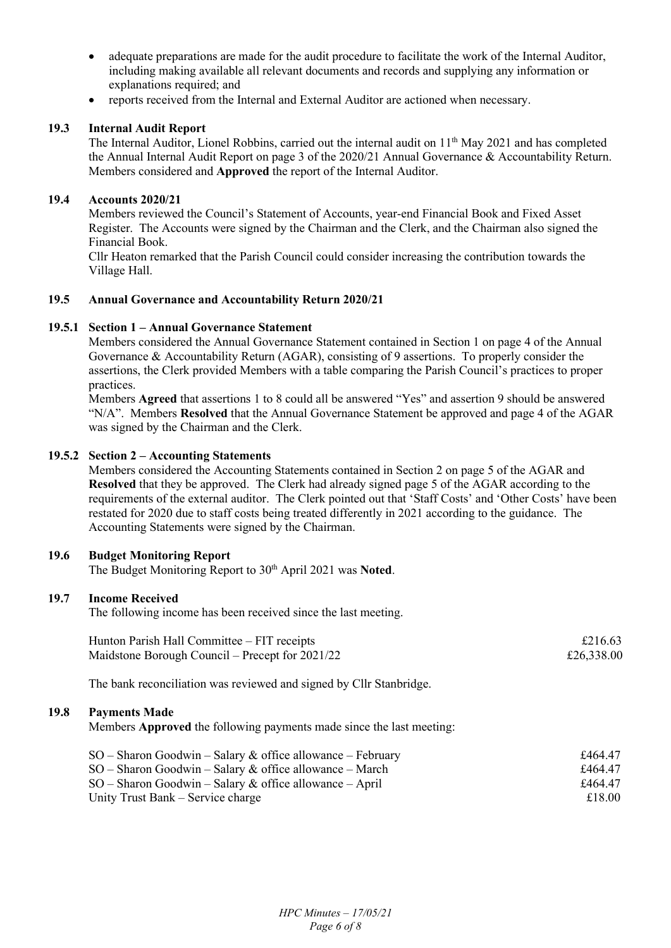- adequate preparations are made for the audit procedure to facilitate the work of the Internal Auditor, including making available all relevant documents and records and supplying any information or explanations required; and
- reports received from the Internal and External Auditor are actioned when necessary.

### **19.3 Internal Audit Report**

The Internal Auditor, Lionel Robbins, carried out the internal audit on 11<sup>th</sup> May 2021 and has completed the Annual Internal Audit Report on page 3 of the 2020/21 Annual Governance & Accountability Return. Members considered and **Approved** the report of the Internal Auditor.

### **19.4 Accounts 2020/21**

Members reviewed the Council's Statement of Accounts, year-end Financial Book and Fixed Asset Register. The Accounts were signed by the Chairman and the Clerk, and the Chairman also signed the Financial Book.

Cllr Heaton remarked that the Parish Council could consider increasing the contribution towards the Village Hall.

### **19.5 Annual Governance and Accountability Return 2020/21**

### **19.5.1 Section 1 – Annual Governance Statement**

Members considered the Annual Governance Statement contained in Section 1 on page 4 of the Annual Governance & Accountability Return (AGAR), consisting of 9 assertions. To properly consider the assertions, the Clerk provided Members with a table comparing the Parish Council's practices to proper practices.

Members **Agreed** that assertions 1 to 8 could all be answered "Yes" and assertion 9 should be answered "N/A". Members **Resolved** that the Annual Governance Statement be approved and page 4 of the AGAR was signed by the Chairman and the Clerk.

### **19.5.2 Section 2 – Accounting Statements**

Members considered the Accounting Statements contained in Section 2 on page 5 of the AGAR and **Resolved** that they be approved. The Clerk had already signed page 5 of the AGAR according to the requirements of the external auditor. The Clerk pointed out that 'Staff Costs' and 'Other Costs' have been restated for 2020 due to staff costs being treated differently in 2021 according to the guidance. The Accounting Statements were signed by the Chairman.

## **19.6 Budget Monitoring Report**

The Budget Monitoring Report to 30<sup>th</sup> April 2021 was Noted.

### **19.7 Income Received**

The following income has been received since the last meeting.

| Hunton Parish Hall Committee – FIT receipts     | £216.63    |
|-------------------------------------------------|------------|
| Maidstone Borough Council – Precept for 2021/22 | £26,338.00 |

The bank reconciliation was reviewed and signed by Cllr Stanbridge.

## **19.8 Payments Made**

Members **Approved** the following payments made since the last meeting:

| $SO -$ Sharon Goodwin – Salary & office allowance – February | £464.47 |
|--------------------------------------------------------------|---------|
| $SO -$ Sharon Goodwin – Salary & office allowance – March    | £464.47 |
| $SO -$ Sharon Goodwin – Salary & office allowance – April    | £464.47 |
| Unity Trust Bank – Service charge                            | £18.00  |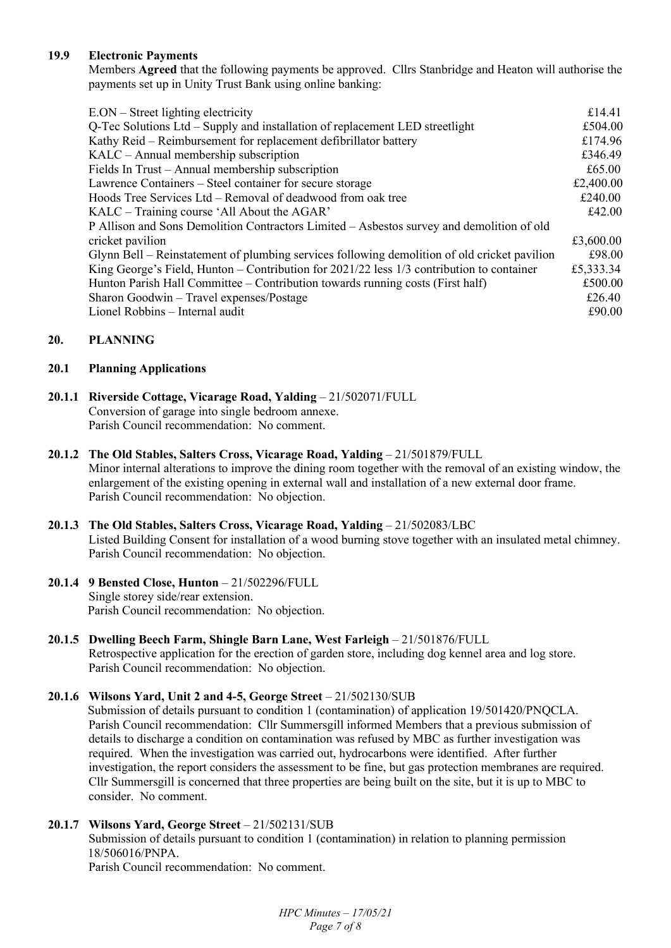## **19.9 Electronic Payments**

Members **Agreed** that the following payments be approved. Cllrs Stanbridge and Heaton will authorise the payments set up in Unity Trust Bank using online banking:

| $E. ON - Street lighting electricity$                                                        | £14.41    |
|----------------------------------------------------------------------------------------------|-----------|
| Q-Tec Solutions Ltd – Supply and installation of replacement LED streetlight                 |           |
| Kathy Reid - Reimbursement for replacement defibrillator battery                             |           |
| KALC – Annual membership subscription                                                        | £346.49   |
| Fields In Trust – Annual membership subscription                                             | £65.00    |
| Lawrence Containers – Steel container for secure storage                                     | £2,400.00 |
| Hoods Tree Services Ltd – Removal of deadwood from oak tree                                  | £240.00   |
| KALC – Training course 'All About the AGAR'                                                  |           |
| P Allison and Sons Demolition Contractors Limited - Asbestos survey and demolition of old    |           |
| cricket pavilion                                                                             | £3,600.00 |
| Glynn Bell – Reinstatement of plumbing services following demolition of old cricket pavilion | £98.00    |
| King George's Field, Hunton – Contribution for $2021/22$ less 1/3 contribution to container  | £5,333.34 |
| Hunton Parish Hall Committee - Contribution towards running costs (First half)               | £500.00   |
| Sharon Goodwin - Travel expenses/Postage                                                     | £26.40    |
| Lionel Robbins - Internal audit                                                              | £90.00    |
|                                                                                              |           |

### **20. PLANNING**

### **20.1 Planning Applications**

- **20.1.1 Riverside Cottage, Vicarage Road, Yalding**  21/502071/FULL Conversion of garage into single bedroom annexe. Parish Council recommendation: No comment.
- **20.1.2 The Old Stables, Salters Cross, Vicarage Road, Yalding**  21/501879/FULL

Minor internal alterations to improve the dining room together with the removal of an existing window, the enlargement of the existing opening in external wall and installation of a new external door frame. Parish Council recommendation: No objection.

#### **20.1.3 The Old Stables, Salters Cross, Vicarage Road, Yalding** – 21/502083/LBC

Listed Building Consent for installation of a wood burning stove together with an insulated metal chimney. Parish Council recommendation: No objection.

- **20.1.4 9 Bensted Close, Hunton**  21/502296/FULL Single storey side/rear extension. Parish Council recommendation: No objection.
- **20.1.5 Dwelling Beech Farm, Shingle Barn Lane, West Farleigh**  21/501876/FULL Retrospective application for the erection of garden store, including dog kennel area and log store. Parish Council recommendation: No objection.
- **20.1.6 Wilsons Yard, Unit 2 and 4-5, George Street**  21/502130/SUB

 Submission of details pursuant to condition 1 (contamination) of application 19/501420/PNQCLA. Parish Council recommendation: Cllr Summersgill informed Members that a previous submission of details to discharge a condition on contamination was refused by MBC as further investigation was required. When the investigation was carried out, hydrocarbons were identified. After further investigation, the report considers the assessment to be fine, but gas protection membranes are required. Cllr Summersgill is concerned that three properties are being built on the site, but it is up to MBC to consider. No comment.

#### **20.1.7 Wilsons Yard, George Street** – 21/502131/SUB

 Submission of details pursuant to condition 1 (contamination) in relation to planning permission 18/506016/PNPA.

Parish Council recommendation: No comment.

*HPC Minutes – 17/05/21 Page 7 of 8*